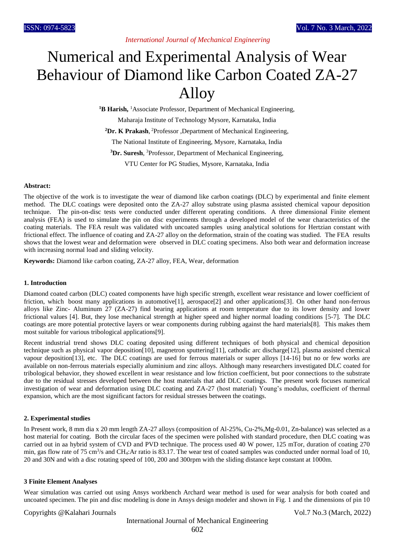# Numerical and Experimental Analysis of Wear Behaviour of Diamond like Carbon Coated ZA-27 Alloy

<sup>1</sup>**B Harish,** <sup>1</sup>Associate Professor, Department of Mechanical Engineering, Maharaja Institute of Technology Mysore, Karnataka, India **<sup>2</sup>Dr. K Prakash**, <sup>2</sup>Professor ,Department of Mechanical Engineering, The National Institute of Engineering, Mysore, Karnataka, India **<sup>3</sup>Dr. Suresh**, <sup>3</sup>Professor, Department of Mechanical Engineering, VTU Center for PG Studies, Mysore, Karnataka, India

## **Abstract:**

The objective of the work is to investigate the wear of diamond like carbon coatings (DLC) by experimental and finite element method. The DLC coatings were deposited onto the ZA-27 alloy substrate using plasma assisted chemical vapour deposition technique. The pin-on-disc tests were conducted under different operating conditions. A three dimensional Finite element analysis (FEA) is used to simulate the pin on disc experiments through a developed model of the wear characteristics of the coating materials. The FEA result was validated with uncoated samples using analytical solutions for Hertzian constant with frictional effect. The influence of coating and ZA-27 alloy on the deformation, strain of the coating was studied. The FEA results shows that the lowest wear and deformation were observed in DLC coating specimens. Also both wear and deformation increase with increasing normal load and sliding velocity.

**Keywords:** Diamond like carbon coating, ZA-27 alloy, FEA, Wear, deformation

#### **1. Introduction**

Diamond coated carbon (DLC) coated components have high specific strength, excellent wear resistance and lower coefficient of friction, which boost many applications in automotive[1], aerospace[2] and other applications[3]. On other hand non-ferrous alloys like Zinc- Aluminum 27 (ZA-27) find bearing applications at room temperature due to its lower density and lower frictional values [4]. But, they lose mechanical strength at higher speed and higher normal loading conditions [5-7]. The DLC coatings are more potential protective layers or wear components during rubbing against the hard materials[8]. This makes them most suitable for various tribological applications[9].

Recent industrial trend shows DLC coating deposited using different techniques of both physical and chemical deposition technique such as physical vapor deposition[10], magnetron sputtering[11], cathodic arc discharge[12], plasma assisted chemical vapour deposition[13], etc. The DLC coatings are used for ferrous materials or super alloys [14-16] but no or few works are available on non-ferrous materials especially aluminium and zinc alloys. Although many researchers investigated DLC coated for tribological behavior, they showed excellent in wear resistance and low friction coefficient, but poor connections to the substrate due to the residual stresses developed between the host materials that add DLC coatings. The present work focuses numerical investigation of wear and deformation using DLC coating and ZA-27 (host material) Young's modulus, coefficient of thermal expansion, which are the most significant factors for residual stresses between the coatings.

# **2. Experimental studies**

In Present work, 8 mm dia x 20 mm length ZA-27 alloys (composition of Al-25%, Cu-2%,Mg-0.01, Zn-balance) was selected as a host material for coating. Both the circular faces of the specimen were polished with standard procedure, then DLC coating was carried out in aa hybrid system of CVD and PVD technique. The process used 40 W power, 125 mTor, duration of coating 270 min, gas flow rate of 75 cm<sup>3</sup>/s and CH<sub>4</sub>: Ar ratio is 83.17. The wear test of coated samples was conducted under normal load of 10, 20 and 30N and with a disc rotating speed of 100, 200 and 300rpm with the sliding distance kept constant at 1000m.

#### **3 Finite Element Analyses**

Wear simulation was carried out using Ansys workbench Archard wear method is used for wear analysis for both coated and uncoated specimen. The pin and disc modeling is done in Ansys design modeler and shown in Fig. 1 and the dimensions of pin 10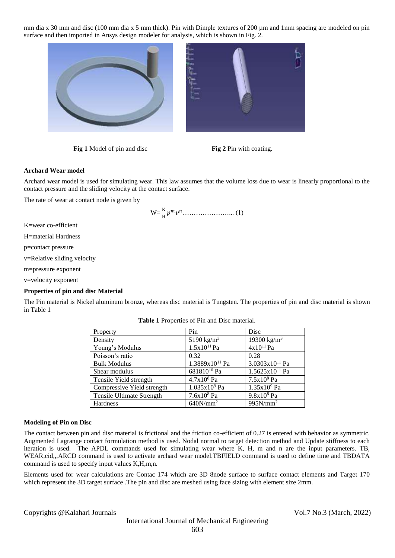mm dia x 30 mm and disc (100 mm dia x 5 mm thick). Pin with Dimple textures of 200 µm and 1mm spacing are modeled on pin surface and then imported in Ansys design modeler for analysis, which is shown in Fig. 2.



**Fig 1** Model of pin and disc **Fig 2** Pin with coating.

# **Archard Wear model**

Archard wear model is used for simulating wear. This law assumes that the volume loss due to wear is linearly proportional to the contact pressure and the sliding velocity at the contact surface.

The rate of wear at contact node is given by

W= <sup>K</sup> H …………………... (1)

K=wear co-efficient

H=material Hardness

p=contact pressure

v=Relative sliding velocity

m=pressure exponent

v=velocity exponent

# **Properties of pin and disc Material**

The Pin material is Nickel aluminum bronze, whereas disc material is Tungsten. The properties of pin and disc material is shown in Table 1

|                        | Disc                       |
|------------------------|----------------------------|
| 5190 kg/m <sup>3</sup> | 19300 kg/m <sup>3</sup>    |
| $1.5x10^{11} Pa$       | $4x10^{11}$ Pa             |
| 0.32                   | 0.28                       |
| $1.3889x10^{11}$ Pa    | 3.0303x10 <sup>11</sup> Pa |
|                        | $1.5625x10^{11}$ Pa        |
| $4.7x108$ Pa           | $7.5x108$ Pa               |
| $1.035x109$ Pa         | $1.35x109$ Pa              |
| $7.6x108$ Pa           | $9.8x108$ Pa               |
| $640N/mm^2$            | 995N/mm <sup>2</sup>       |
|                        | Pin<br>$681810^{10}$ Pa    |

| <b>Table 1</b> Properties of Pin and Disc material. |
|-----------------------------------------------------|
|-----------------------------------------------------|

#### **Modeling of Pin on Disc**

The contact between pin and disc material is frictional and the friction co-efficient of 0.27 is entered with behavior as symmetric. Augmented Lagrange contact formulation method is used. Nodal normal to target detection method and Update stiffness to each iteration is used. The APDL commands used for simulating wear where K, H, m and n are the input parameters. TB, WEAR,cid,,,ARCD command is used to activate archard wear model.TBFIELD command is used to define time and TBDATA command is used to specify input values K,H,m,n.

Elements used for wear calculations are Contac 174 which are 3D 8node surface to surface contact elements and Target 170 which represent the 3D target surface .The pin and disc are meshed using face sizing with element size 2mm.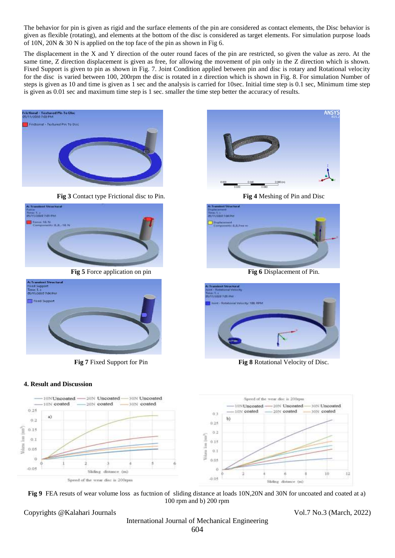The behavior for pin is given as rigid and the surface elements of the pin are considered as contact elements, the Disc behavior is given as flexible (rotating), and elements at the bottom of the disc is considered as target elements. For simulation purpose loads of 10N, 20N & 30 N is applied on the top face of the pin as shown in Fig 6.

The displacement in the X and Y direction of the outer round faces of the pin are restricted, so given the value as zero. At the same time, Z direction displacement is given as free, for allowing the movement of pin only in the Z direction which is shown. Fixed Support is given to pin as shown in Fig. 7. Joint Condition applied between pin and disc is rotary and Rotational velocity for the disc is varied between 100, 200rpm the disc is rotated in z direction which is shown in Fig. 8. For simulation Number of steps is given as 10 and time is given as 1 sec and the analysis is carried for 10sec. Initial time step is 0.1 sec, Minimum time step is given as 0.01 sec and maximum time step is 1 sec. smaller the time step better the accuracy of results.



**Fig 3** Contact type Frictional disc to Pin. **Fig 4** Meshing of Pin and Disc



**Fig 5** Force application on pin **Fig 6** Displacement of Pin.

| <b>A: Transient Structural</b><br>Fixed Support<br>Time: 1.1<br>05/11/2020 7:04 PM |  |
|------------------------------------------------------------------------------------|--|
| Fored Support                                                                      |  |
|                                                                                    |  |
|                                                                                    |  |

# **4. Result and Discussion**



**Fig 9** FEA resuts of wear volume loss as fuctnion of sliding distance at loads 10N,20N and 30N for uncoated and coated at a) 100 rpm and b) 200 rpm

Copyrights @Kalahari Journals Vol.7 No.3 (March, 2022)

**ANSY** 





**Fig 7** Fixed Support for Pin **Fig 8** Rotational Velocity of Disc.

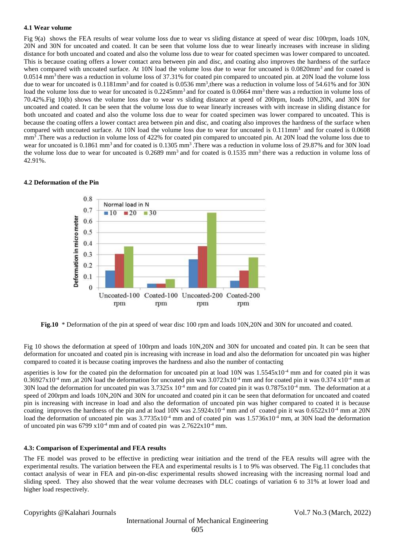## **4.1 Wear volume**

Fig 9(a) shows the FEA results of wear volume loss due to wear vs sliding distance at speed of wear disc 100rpm, loads 10N, 20N and 30N for uncoated and coated. It can be seen that volume loss due to wear linearly increases with increase in sliding distance for both uncoated and coated and also the volume loss due to wear for coated specimen was lower compared to uncoated. This is because coating offers a lower contact area between pin and disc, and coating also improves the hardness of the surface when compared with uncoated surface. At 10N load the volume loss due to wear for uncoated is 0.0820mm<sup>3</sup> and for coated is  $0.0514$  mm<sup>3</sup> there was a reduction in volume loss of 37.31% for coated pin compared to uncoated pin. at 20N load the volume loss due to wear for uncoated is  $0.1181$ mm<sup>3</sup> and for coated is  $0.0536$  mm<sup>3</sup>, there was a reduction in volume loss of 54.61% and for 30N load the volume loss due to wear for uncoated is 0.2245mm<sup>3</sup> and for coated is 0.0664 mm<sup>3</sup> there was a reduction in volume loss of 70.42%.Fig 10(b) shows the volume loss due to wear vs sliding distance at speed of 200rpm, loads 10N,20N, and 30N for uncoated and coated. It can be seen that the volume loss due to wear linearly increases with with increase in sliding distance for both uncoated and coated and also the volume loss due to wear for coated specimen was lower compared to uncoated. This is because the coating offers a lower contact area between pin and disc, and coating also improves the hardness of the surface when compared with uncoated surface. At 10N load the volume loss due to wear for uncoated is  $0.111$ mm<sup>3</sup> and for coated is  $0.0608$ mm<sup>3</sup>. There was a reduction in volume loss of 422% for coated pin compared to uncoated pin. At 20N load the volume loss due to wear for uncoated is 0.1861 mm<sup>3</sup> and for coated is 0.1305 mm<sup>3</sup>. There was a reduction in volume loss of 29.87% and for 30N load the volume loss due to wear for uncoated is  $0.2689$  mm<sup>3</sup> and for coated is  $0.1535$  mm<sup>3</sup> there was a reduction in volume loss of 42.91%.

# **4.2 Deformation of the Pin**



**Fig.10** \* Deformation of the pin at speed of wear disc 100 rpm and loads 10N,20N and 30N for uncoated and coated.

Fig 10 shows the deformation at speed of 100rpm and loads 10N,20N and 30N for uncoated and coated pin. It can be seen that deformation for uncoated and coated pin is increasing with increase in load and also the deformation for uncoated pin was higher compared to coated it is because coating improves the hardness and also the number of contacting

asperities is low for the coated pin the deformation for uncoated pin at load  $10N$  was  $1.5545x10^{-4}$  mm and for coated pin it was  $0.36927 \times 10^{-4}$  mm ,at 20N load the deformation for uncoated pin was  $3.0723 \times 10^{-4}$  mm and for coated pin it was  $0.374 \times 10^{-4}$  mm at 30N load the deformation for uncoated pin was  $3.7325x 10^{-4}$  mm and for coated pin it was  $0.7875x10^{-4}$  mm. The deformation at a speed of 200rpm and loads 10N,20N and 30N for uncoated and coated pin it can be seen that deformation for uncoated and coated pin is increasing with increase in load and also the deformation of uncoated pin was higher compared to coated it is because coating improves the hardness of the pin and at load 10N was  $2.5924 \times 10^{-4}$  mm and of coated pin it was  $0.6522 \times 10^{-4}$  mm at 20N load the deformation of uncoated pin was  $3.7735x10^{-4}$  mm and of coated pin was  $1.5736x10^{-4}$  mm, at 30N load the deformation of uncoated pin was  $6799 \times 10^{-4}$  mm and of coated pin was  $2.7622 \times 10^{-4}$  mm.

# **4.3: Comparison of Experimental and FEA results**

The FE model was proved to be effective in predicting wear initiation and the trend of the FEA results will agree with the experimental results. The variation between the FEA and experimental results is 1 to 9% was observed. The Fig.11 concludes that contact analysis of wear in FEA and pin-on-disc experimental results showed increasing with the increasing normal load and sliding speed. They also showed that the wear volume decreases with DLC coatings of variation 6 to 31% at lower load and higher load respectively.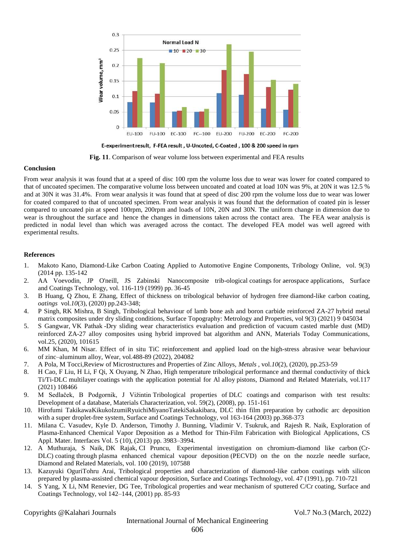

**Fig. 11**. Comparison of wear volume loss between experimental and FEA results

# **Conclusion**

From wear analysis it was found that at a speed of disc 100 rpm the volume loss due to wear was lower for coated compared to that of uncoated specimen. The comparative volume loss between uncoated and coated at load 10N was 9%, at 20N it was 12.5 % and at 30N it was 31.4%. From wear analysis it was found that at speed of disc 200 rpm the volume loss due to wear was lower for coated compared to that of uncoated specimen. From wear analysis it was found that the deformation of coated pin is lesser compared to uncoated pin at speed 100rpm, 200rpm and loads of 10N, 20N and 30N. The uniform change in dimension due to wear is throughout the surface and hence the changes in dimensions taken across the contact area. The FEA wear analysis is predicted in nodal level than which was averaged across the contact. The developed FEA model was well agreed with experimental results.

# **References**

- 1. Makoto Kano, Diamond-Like Carbon Coating Applied to Automotive Engine Components, Tribology Online, vol. 9(3) (2014 pp. 135-142
- 2. AA Voevodin, JP O'neill, JS Zabinski Nanocomposite trib-ological coatings for aerospace applications, Surface and Coatings Technology, vol. 116-119 (1999) pp. 36-45
- 3. B Huang, Q Zhou, E Zhang, Effect of thickness on tribological behavior of hydrogen free diamond-like carbon coating, *oatings* vol.*10*(3), (2020) pp.243-348;
- 4. P Singh, RK Mishra, B Singh, Tribological behaviour of lamb bone ash and boron carbide reinforced ZA-27 hybrid metal matrix composites under dry sliding conditions, Surface Topography: Metrology and Properties, vol 9(3) (2021) 9 045034
- 5. S Gangwar, VK Pathak -Dry sliding wear characteristics evaluation and prediction of vacuum casted marble dust (MD) reinforced ZA-27 alloy composites using hybrid improved bat algorithm and ANN, Materials Today Communications, [vol.25,](https://www.sciencedirect.com/journal/materials-today-communications/vol/25/suppl/C) (2020), 101615
- 6. MM Khan, M Nisar. Effect of in situ TiC reinforcement and applied load on the high-stress abrasive wear behaviour of zinc–aluminum alloy, [Wear,](https://www.sciencedirect.com/journal/wear) vol[.488-89](https://www.sciencedirect.com/journal/wear/vol/488/suppl/C) (2022), 204082
- 7. A Pola, M Tocci,Review of Microstructures and Properties of Zinc Alloys, *Metals* , vol.*10*(2), (2020), pp.253-59
- 8. H Cao, F Liu, H Li, F Qi, X Ouyang, [N Zhao,](https://scholar.google.co.in/citations?user=h27UzA4AAAAJ&hl=en&oi=sra) [High temperature tribological performance and thermal conductivity of thick](https://www.sciencedirect.com/science/article/pii/S0925963521002296?casa_token=3-5iqFVnzpMAAAAA:WiLiCTPSjP8-MJrL3g9xU5RnnoTj-cxYa9YydjrG8hkA1IYjEsbi6RbbMODvSSm0jgWZR2doDaYm)  Ti/Ti-DLC multilayer coatings [with the application potential for Al](https://www.sciencedirect.com/science/article/pii/S0925963521002296?casa_token=3-5iqFVnzpMAAAAA:WiLiCTPSjP8-MJrL3g9xU5RnnoTj-cxYa9YydjrG8hkA1IYjEsbi6RbbMODvSSm0jgWZR2doDaYm) alloy pistons, Diamond and Related Materials, vol.117 (2021) 108466
- 9. M Sedlaček, B Podgornik, J Vižintin Tribological properties of DLC coatings [and comparison with test results:](https://www.sciencedirect.com/science/article/pii/S1044580306003615)  [Development of a database,](https://www.sciencedirect.com/science/article/pii/S1044580306003615) Materials Characterization, vol. [59\(2\),](https://www.sciencedirect.com/journal/materials-characterization/vol/59/issue/2) (2008), pp. 151-161
- 10. Hirofumi Takikaw[aKikukoIzumiRyuichiMiyanoTatekiSakakibara,](https://www.sciencedirect.com/science/article/abs/pii/S0257897202006291#!) DLC thin film preparation by cathodic arc deposition with a super droplet-free system, Surface and Coatings Technology, vol 163-164 (2003) pp.368-373
- 11. Milana C. Vasudev, [Kyle D. Anderson,](https://pubs.acs.org/action/doSearch?field1=Contrib&text1=Kyle+D.++Anderson) [Timothy J. Bunning,](https://pubs.acs.org/action/doSearch?field1=Contrib&text1=Timothy+J.++Bunning) [Vladimir V. Tsukruk,](https://pubs.acs.org/action/doSearch?field1=Contrib&text1=Vladimir+V.++Tsukruk) and [Rajesh R. Naik,](https://pubs.acs.org/action/doSearch?field1=Contrib&text1=Rajesh+R.++Naik) Exploration of Plasma-Enhanced Chemical Vapor Deposition as a Method for Thin-Film Fabrication with Biological Applications, CS Appl. Mater. Interfaces Vol. 5 (10), (2013) pp. 3983–3994.
- 12. A Muthuraja, S Naik, DK Rajak, CI Pruncu, Experimental investigation on chromium-diamond like carbon (Cr-DLC) coating through plasma enhanced chemical vapour deposition (PECVD) on the on the nozzle needle surface, Diamond and Related Materials, vol. 100 (2019), 107588
- 13. Kazuyuki Ogur[iTohru Arai,](https://www.sciencedirect.com/science/article/abs/pii/025789729190344V#!) Tribological properties and characterization of diamond-like carbon coatings with silicon prepared by plasma-assisted chemical vapour deposition, [Surface and Coatings Technology,](https://www.sciencedirect.com/journal/surface-and-coatings-technology) vol. 47 (1991), pp. 710-721
- 14. S Yang, X Li, NM Renevier, DG Tee, Tribological properties and wear mechanism of sputtered C/Cr coating, Surface and Coatings Technology, vol 142–144, (2001) pp. 85-93